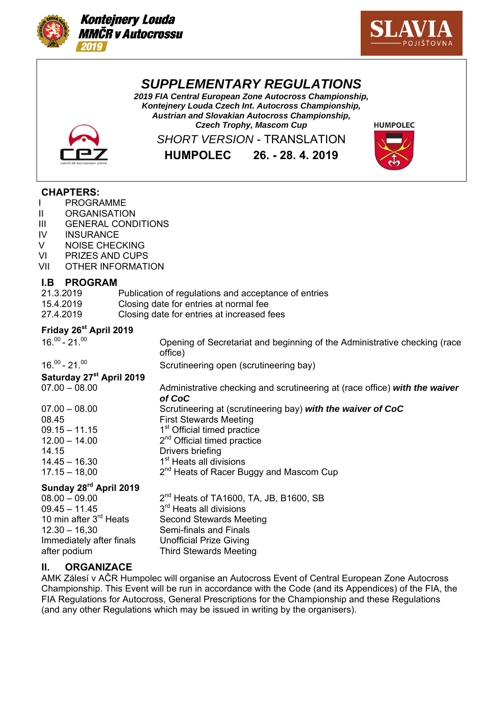



# *SUPPLEMENTARY REGULATIONS*

*2019 FIA Central European Zone Autocross Championship, Kontejnery Louda Czech Int. Autocross Championship, Austrian and Slovakian Autocross Championship, Czech Trophy, Mascom Cup*



*SHORT VERSION* - TRANSLATION

**HUMPOLEC 26. - 28. 4. 2019**



## **CHAPTERS:**

- I PROGRAMME
- II ORGANISATION
- III GENERAL CONDITIONS
- IV INSURANCE
- V NOISE CHECKING
- VI PRIZES AND CUPS
- VII OTHER INFORMATION

## **I.B PROGRAM**

| 21.3.2019 | Publication of regulations and acceptance of entries |
|-----------|------------------------------------------------------|
| 15.4.2019 | Closing date for entries at normal fee               |
| 27.4.2019 | Closing date for entries at increased fees           |

## **Friday 26st April 2019**

 $16.^{00}$  - 21.<sup>00</sup>  $\sim$  21.<sup>00</sup> Opening of Secretariat and beginning of the Administrative checking (race office) 16.00 - 21.00 Scrutineering open (scrutineering bay) **Saturday 27st April 2019**  07.00 – 08.00 Administrative checking and scrutineering at (race office) *with the waiver of CoC* 07.00 – 08.00 Scrutineering at (scrutineering bay) *with the waiver of CoC* 08.45 First Stewards Meeting  $09.15 - 11.15$  1st Official timed practice  $12.00 - 14.00$   $2<sup>nd</sup>$  Official timed practice 14.15 Drivers briefing  $14.45 - 16.30$  1st Heats all divisions 17.15 – 18,00  $2^{nd}$  Heats of Racer Buggy and Mascom Cup **Sunday 28rd April 2019**   $08.00 - 09.00$ <br>  $09.45 - 11.45$ <br>  $09.45 - 11.45$ <br>  $09.45 - 11.45$ <br>  $09.45 - 11.45$ <br>  $09.45 - 11.45$ 09.45 – 11.45  $3<sup>rd</sup>$  Heats all divisions<br>10 min after  $3<sup>rd</sup>$  Heats Second Stewards Me Second Stewards Meeting 12.30 – 16,30 Semi-finals and Finals Immediately after finals Unofficial Prize Giving

# **Il. ORGANIZACE**

after podium Third Stewards Meeting

AMK Zálesí v AČR Humpolec will organise an Autocross Event of Central European Zone Autocross Championship. This Event will be run in accordance with the Code (and its Appendices) of the FIA, the FIA Regulations for Autocross, General Prescriptions for the Championship and these Regulations (and any other Regulations which may be issued in writing by the organisers).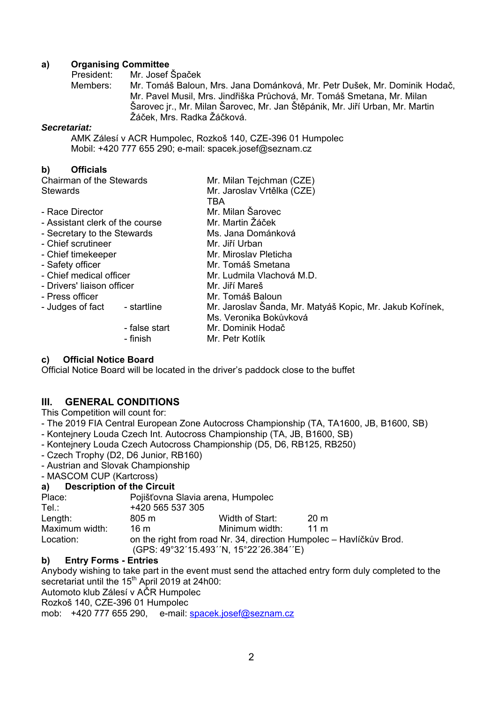#### **a) Organising Committee**

President: Mr. Josef Špaček

Members: Mr. Tomáš Baloun, Mrs. Jana Dománková, Mr. Petr Dušek, Mr. Dominik Hodač, Mr. Pavel Musil, Mrs. Jindřiška Průchová, Mr. Tomáš Smetana, Mr. Milan Šarovec jr., Mr. Milan Šarovec, Mr. Jan Štěpánik, Mr. Jiří Urban, Mr. Martin Žáček, Mrs. Radka Žáčková.

#### *Secretariat:*

AMK Zálesí v ACR Humpolec, Rozkoš 140, CZE-396 01 Humpolec Mobil: +420 777 655 290; e-mail: spacek.josef@seznam.cz

## **b) Officials**

| Chairman of the Stewards        |               | Mr. Milan Tejchman (CZE)                                 |  |  |
|---------------------------------|---------------|----------------------------------------------------------|--|--|
| Stewards                        |               | Mr. Jaroslav Vrtělka (CZE)                               |  |  |
|                                 |               | TBA                                                      |  |  |
| - Race Director                 |               | Mr. Milan Šarovec                                        |  |  |
| - Assistant clerk of the course |               | Mr. Martin Žáček                                         |  |  |
| - Secretary to the Stewards     |               | Ms. Jana Dománková                                       |  |  |
| - Chief scrutineer              |               | Mr. Jiří Urban                                           |  |  |
| - Chief timekeeper              |               | Mr. Miroslav Pleticha                                    |  |  |
| - Safety officer                |               | Mr. Tomáš Smetana                                        |  |  |
| - Chief medical officer         |               | Mr. Ludmila Vlachová M.D.                                |  |  |
| - Drivers' liaison officer      |               | Mr. Jiří Mareš                                           |  |  |
| - Press officer                 |               | Mr. Tomáš Baloun                                         |  |  |
| - Judges of fact                | - startline   | Mr. Jaroslav Šanda, Mr. Matyáš Kopic, Mr. Jakub Kořínek, |  |  |
|                                 |               | Ms. Veronika Bokůvková                                   |  |  |
|                                 | - false start | Mr. Dominik Hodač                                        |  |  |
|                                 | - finish      | Mr. Petr Kotlík                                          |  |  |
|                                 |               |                                                          |  |  |

## **c) Official Notice Board**

Official Notice Board will be located in the driver's paddock close to the buffet

## **III. GENERAL CONDITIONS**

This Competition will count for:

- The 2019 FIA Central European Zone Autocross Championship (TA, TA1600, JB, B1600, SB)

- Kontejnery Louda Czech Int. Autocross Championship (TA, JB, B1600, SB)
- Kontejnery Louda Czech Autocross Championship (D5, D6, RB125, RB250)
- Czech Trophy (D2, D6 Junior, RB160)
- Austrian and Slovak Championship
- MASCOM CUP (Kartcross)

## **a) Description of the Circuit**

| Place:         | Pojišťovna Slavia arena, Humpolec                                   |                                         |      |  |  |
|----------------|---------------------------------------------------------------------|-----------------------------------------|------|--|--|
| Tel∴           | +420 565 537 305                                                    |                                         |      |  |  |
| Length:        | 805 m                                                               | Width of Start:                         | 20 m |  |  |
| Maximum width: | 16 m                                                                | Minimum width:                          | 11 m |  |  |
| Location:      | on the right from road Nr. 34, direction Humpolec - Havlíčkův Brod. |                                         |      |  |  |
|                |                                                                     | (GPS: 49°32'15.493''N, 15°22'26.384''E) |      |  |  |

## **b) Entry Forms - Entries**

Anybody wishing to take part in the event must send the attached entry form duly completed to the secretariat until the 15<sup>th</sup> April 2019 at 24h00: Automoto klub Zálesí v AČR Humpolec

Rozkoš 140, CZE-396 01 Humpolec

mob: +420 777 655 290, e-mail: spacek.josef@seznam.cz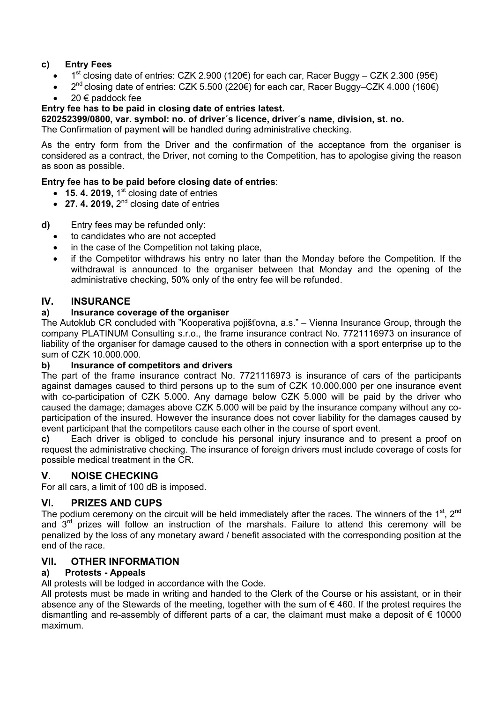# **c) Entry Fees**

- 1<sup>st</sup> closing date of entries: CZK 2.900 (120€) for each car, Racer Buggy CZK 2.300 (95€)
- $2^{nd}$  closing date of entries: CZK 5.500 (220€) for each car, Racer Buggy–CZK 4.000 (160€)
- 20 € paddock fee

## **Entry fee has to be paid in closing date of entries latest.**

**620252399/0800, var. symbol: no. of driver´s licence, driver´s name, division, st. no.** 

The Confirmation of payment will be handled during administrative checking.

As the entry form from the Driver and the confirmation of the acceptance from the organiser is considered as a contract, the Driver, not coming to the Competition, has to apologise giving the reason as soon as possible.

## **Entry fee has to be paid before closing date of entries**:

- $\bullet$  **15. 4. 2019,** 1<sup>st</sup> closing date of entries
- $\bullet$  **27. 4. 2019,**  $2^{nd}$  closing date of entries

## **d)** Entry fees may be refunded only:

- to candidates who are not accepted
- in the case of the Competition not taking place,
- if the Competitor withdraws his entry no later than the Monday before the Competition. If the withdrawal is announced to the organiser between that Monday and the opening of the administrative checking, 50% only of the entry fee will be refunded.

# **IV. INSURANCE**

## **a) Insurance coverage of the organiser**

The Autoklub CR concluded with "Kooperativa pojišťovna, a.s." – Vienna Insurance Group, through the company PLATINUM Consulting s.r.o., the frame insurance contract No. 7721116973 on insurance of liability of the organiser for damage caused to the others in connection with a sport enterprise up to the sum of CZK 10.000.000.

## **b) Insurance of competitors and drivers**

The part of the frame insurance contract No. 7721116973 is insurance of cars of the participants against damages caused to third persons up to the sum of CZK 10.000.000 per one insurance event with co-participation of CZK 5.000. Any damage below CZK 5.000 will be paid by the driver who caused the damage; damages above CZK 5.000 will be paid by the insurance company without any coparticipation of the insured. However the insurance does not cover liability for the damages caused by event participant that the competitors cause each other in the course of sport event.

**c)** Each driver is obliged to conclude his personal injury insurance and to present a proof on request the administrative checking. The insurance of foreign drivers must include coverage of costs for possible medical treatment in the CR.

# **V. NOISE CHECKING**

For all cars, a limit of 100 dB is imposed.

# **Vl. PRIZES AND CUPS**

The podium ceremony on the circuit will be held immediately after the races. The winners of the  $1<sup>st</sup>$ ,  $2<sup>nd</sup>$ and 3rd prizes will follow an instruction of the marshals. Failure to attend this ceremony will be penalized by the loss of any monetary award / benefit associated with the corresponding position at the end of the race.

# **VlI. OTHER INFORMATION**

# **a) Protests - Appeals**

All protests will be lodged in accordance with the Code.

All protests must be made in writing and handed to the Clerk of the Course or his assistant, or in their absence any of the Stewards of the meeting, together with the sum of  $\epsilon$  460. If the protest requires the dismantling and re-assembly of different parts of a car, the claimant must make a deposit of  $\epsilon$  10000 maximum.